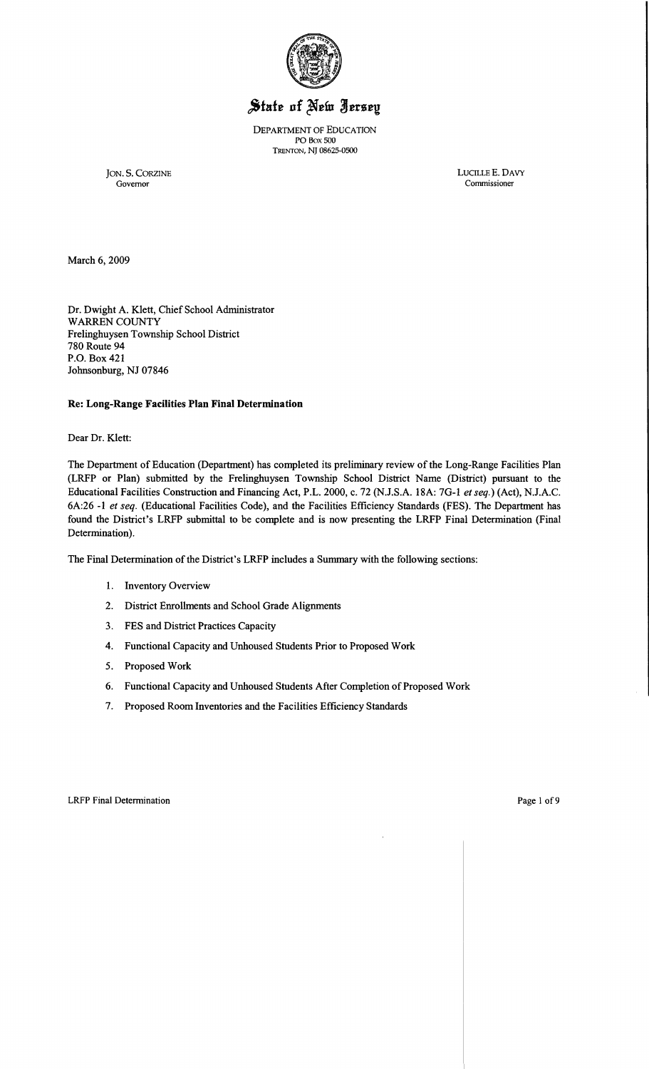

# State of New Jersey

DEPARTMENT OF EDUCATION PO Box 500 TRENTON, NJ 08625-0500

Governor Commissioner

JON. S. CORZINE LUCILLE E. DAVY CONTROLLE E. DAVY CONTROVERS ON THE SAME CONTROLLER ON THE SAME CONTROLLER ON THE SAME CONTROLLER ON THE SAME CONTROLLER ON THE SAME CONTROLLER ON THE SAME CONTROLLER ON THE SAME CONTROLLER

March 6,2009

Dr. Dwight A. Klett, Chief School Administrator WARREN COUNTY Frelinghuysen Township School District 780 Route 94 P.O. Box 421 Johnsonburg, NJ 07846

## Re: Long-Range Facilities Plan Final Determination

Dear Dr. Klett:

The Department of Education (Department) has completed its preliminary review of the Long-Range Facilities Plan (LRFP or Plan) submitted by the Frelinghuysen Township School District Name (District) pursuant to the Educational Facilities Construction and Financing Act, P.L. 2000, c. 72 (N.J.S.A. 18A: 7G-I *et seq.)* (Act), NJ.A.C. 6A:26 -I *et seq.* (Educational Facilities Code), and the Facilities Efficiency Standards (FES). The Department has found the District's LRFP submittal to be complete and is now presenting the LRFP Final Determination (Final Determination).

The Final Determination of the District's LRFP includes a Summary with the following sections:

- I. Inventory Overview
- 2. District Enrollments and School Grade Alignments
- 3. FES and District Practices Capacity
- 4. Functional Capacity and Unhoused Students Prior to Proposed Work
- 5. Proposed Work
- 6. Functional Capacity and Unhoused Students After Completion of Proposed Work
- 7. Proposed Room Inventories and the Facilities Efficiency Standards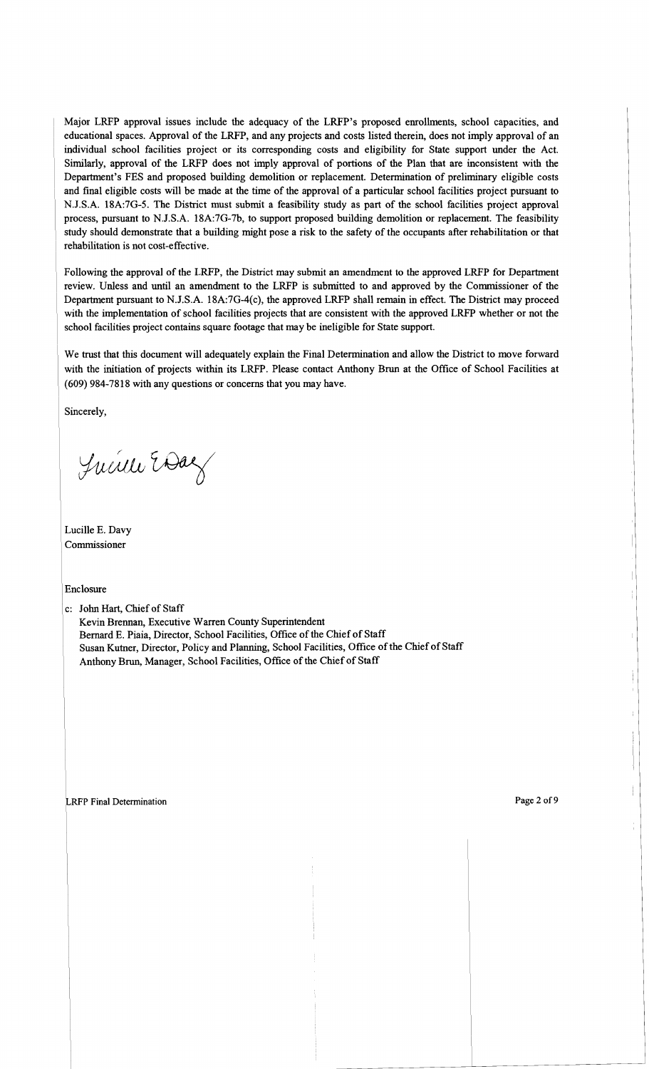Major LRFP approval issues include the adequacy of the LRFP's proposed enrollments, school capacities, and educational spaces. Approval of the LRFP, and any projects and costs listed therein, does not imply approval of an individual school facilities project or its corresponding costs and eligibility for State support under the Act. Similarly, approval of the LRFP does not imply approval of portions of the Plan that are inconsistent with the Department's FES and proposed building demolition or replacement. Determination of preliminary eligible costs and final eligible costs will be made at the time of the approval of a particular school facilities project pursuant to NJ.S.A. 18A:7G-5. The District must submit a feasibility study as part of the school facilities project approval process, pursuant to NJ.S.A. 18A:7G-7b, to support proposed building demolition or replacement. The feasibility study should demonstrate that a building might pose a risk to the safety of the occupants after rehabilitation or that rehabilitation is not cost-effective.

Following the approval of the LRFP, the District may submit an amendment to the approved LRFP for Department review. Unless and until an amendment to the LRFP is submitted to and approved by the Commissioner of the Department pursuant to N.J.S.A. 18A:7G-4(c), the approved LRFP shall remain in effect. The District may proceed with the implementation of school facilities projects that are consistent with the approved LRFP whether or not the school facilities project contains square footage that may be ineligible for State support.

We trust that this document will adequately explain the Final Determination and allow the District to move forward with the initiation of projects within its LRFP. Please contact Anthony Brun at the Office of School Facilities at (609) 984-7818 with any questions or concerns that you may have.

Sincerely,

Juin Edaz

Lucille E. Davy Commissioner

Enclosure

c: John Hart, Chief of Staff Kevin Brennan, Executive Warren County Superintendent Bernard E. Piaia, Director, School Facilities, Office of the Chief of Staff Susan Kutner, Director, Policy and Planning, School Facilities, Office of the Chief of Staff Anthony Brun, Manager, School Facilities, Office of the Chief of Staff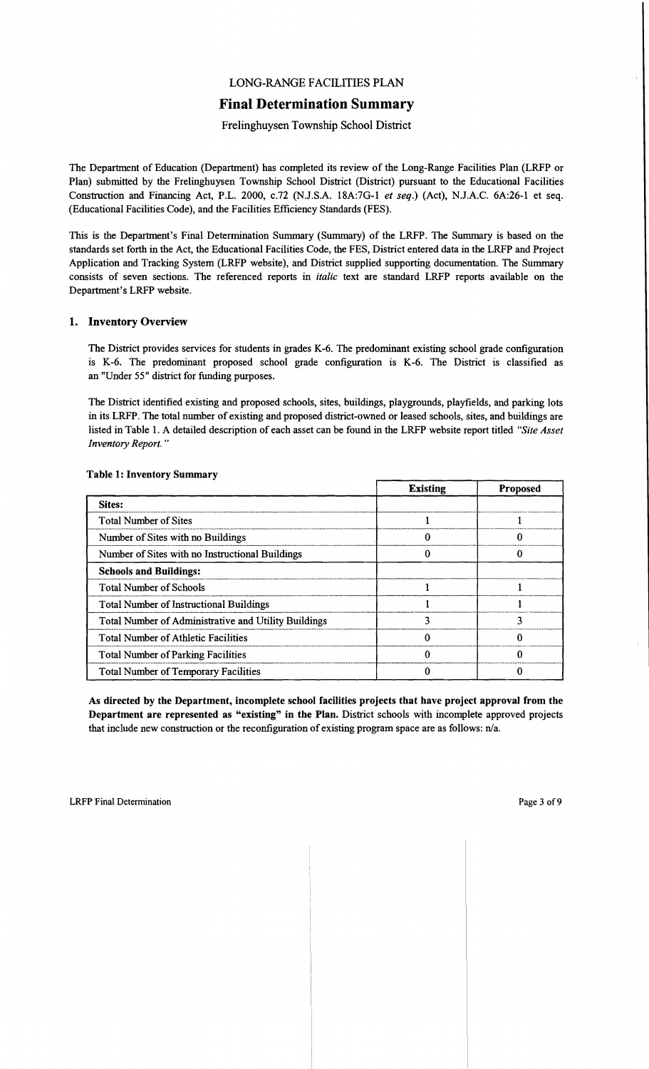## LONG-RANGE FACILITIES PLAN

## Final Determination Summary

## Frelinghuysen Township School District

The Department of Education (Department) has completed its review of the Long-Range Facilities Plan (LRFP or Plan) submitted by the Frelinghuysen Township School District (District) pursuant to the Educational Facilities Construction and Financing Act, P.L. 2000, c.72 (NJ.S.A. 18A:7G-l *et seq.)* (Act), NJ.A.C. 6A:26-1 et seq. (Educational Facilities Code), and the Facilities Efficiency Standards (FES).

This is the Department's Final Determination Summary (Summary) of the LRFP. The Summary is based on the standards set forth in the Act, the Educational Facilities Code, the FES, District entered data in the LRFP and Project Application and Tracking System (LRFP website), and District supplied supporting documentation. The Summary consists of seven sections. The referenced reports in *italic* text are standard LRFP reports available on the Department's LRFP website.

#### 1. Inventory Overview

The District provides services for students in grades K-6. The predominant existing school grade configuration is K-6. The predominant proposed school grade configuration is K-6. The District is classified as an "Under 55" district for funding purposes.

The District identified existing and proposed schools, sites, buildings, playgrounds, playfields, and parking lots in its LRFP. The total number of existing and proposed district-owned or leased schools, sites, and buildings are listed in Table 1. A detailed description of each asset can be found in the LRFP website report titled *"Site Asset Inventory Report. "* 

|                                                      | <b>Existing</b> | <b>Proposed</b> |
|------------------------------------------------------|-----------------|-----------------|
| <b>Sites:</b>                                        |                 |                 |
| <b>Total Number of Sites</b>                         |                 |                 |
| Number of Sites with no Buildings                    |                 |                 |
| Number of Sites with no Instructional Buildings      |                 |                 |
| <b>Schools and Buildings:</b>                        |                 |                 |
| <b>Total Number of Schools</b>                       |                 |                 |
| <b>Total Number of Instructional Buildings</b>       |                 |                 |
| Total Number of Administrative and Utility Buildings |                 |                 |
| <b>Total Number of Athletic Facilities</b>           |                 |                 |
| <b>Total Number of Parking Facilities</b>            |                 |                 |
| <b>Total Number of Temporary Facilities</b>          |                 |                 |

#### Table 1: Inventory Summary

As directed by the Department, incomplete school facilities projects that have project approval from the Department are represented as "existing" in the Plan. District schools with incomplete approved projects that include new construction or the reconfiguration of existing program space are as follows: n/a.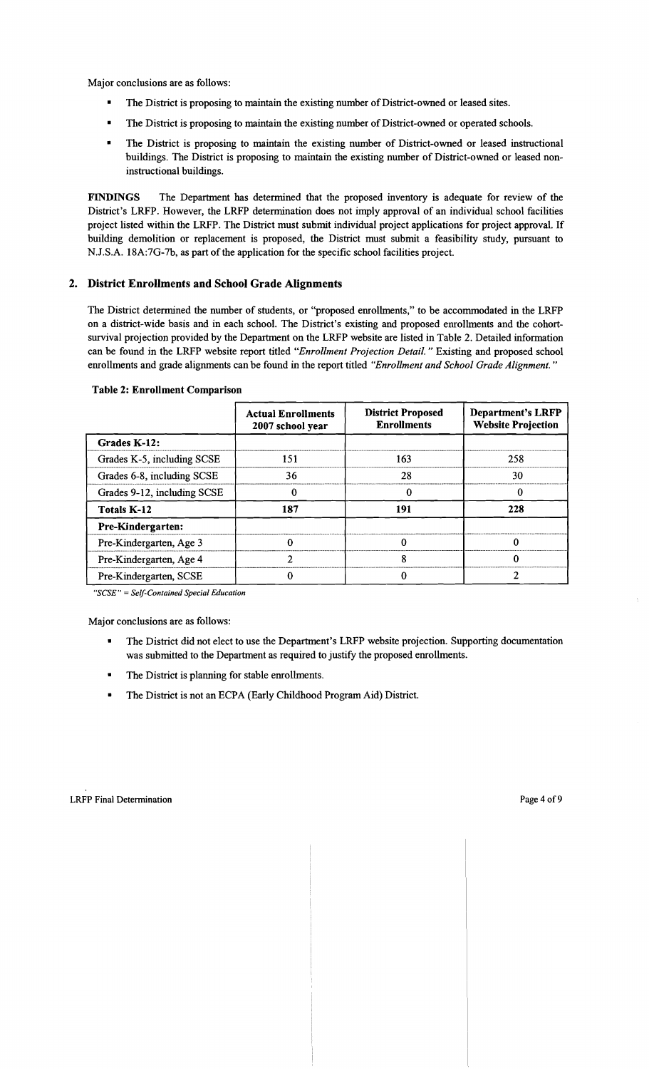Major conclusions are as follows:

- The District is proposing to maintain the existing number of District-owned or leased sites.
- The District is proposing to maintain the existing number of District-owned or operated schools.
- The District is proposing to maintain the existing number of District-owned or leased instructional buildings. The District is proposing to maintain the existing number of District-owned or leased noninstructional buildings.

FINDINGS The Department has determined that the proposed inventory is adequate for review of the District's LRFP. However, the LRFP determination does not imply approval of an individual school facilities project listed within the LRFP. The District must submit individual project applications for project approval. If building demolition or replacement is proposed, the District must submit a feasibility study, pursuant to N.J.S.A. 18A:7G-7b, as part of the application for the specific school facilities project.

## 2. District Enrollments and School Grade Alignments

The District determined the number of students, or "proposed enrollments," to be accommodated in the LRFP on a district-wide basis and in each school. The District's existing and proposed enrollments and the cohortsurvival projection provided by the Department on the LRFP website are listed in Table 2. Detailed information can be found in the LRFP website report titled *"Enrollment Projection Detail."* Existing and proposed school enrollments and grade alignments can be found in the report titled *"Enrollment and School Grade Alignment. "* 

|                             | <b>Actual Enrollments</b><br>2007 school year | <b>District Proposed</b><br><b>Enrollments</b> | <b>Department's LRFP</b><br><b>Website Projection</b> |
|-----------------------------|-----------------------------------------------|------------------------------------------------|-------------------------------------------------------|
| Grades K-12:                |                                               |                                                |                                                       |
| Grades K-5, including SCSE  | 151                                           | 163                                            | 258                                                   |
| Grades 6-8, including SCSE  | 36                                            | 28                                             | 30                                                    |
| Grades 9-12, including SCSE |                                               |                                                |                                                       |
| <b>Totals K-12</b>          | 187                                           | 191                                            | 228                                                   |
| <b>Pre-Kindergarten:</b>    |                                               |                                                |                                                       |
| Pre-Kindergarten, Age 3     |                                               |                                                |                                                       |
| Pre-Kindergarten, Age 4     |                                               | ጸ                                              |                                                       |
| Pre-Kindergarten, SCSE      |                                               |                                                |                                                       |

#### Table 2: Enrollment Comparison

*"SCSE"* = *Self-Contained Special Education* 

- The District did not elect to use the Department's LRFP website projection. Supporting documentation was submitted to the Department as required to justify the proposed enrollments.
- The District is planning for stable enrollments.
- • The District is not an ECPA (Early Childhood Program Aid) District.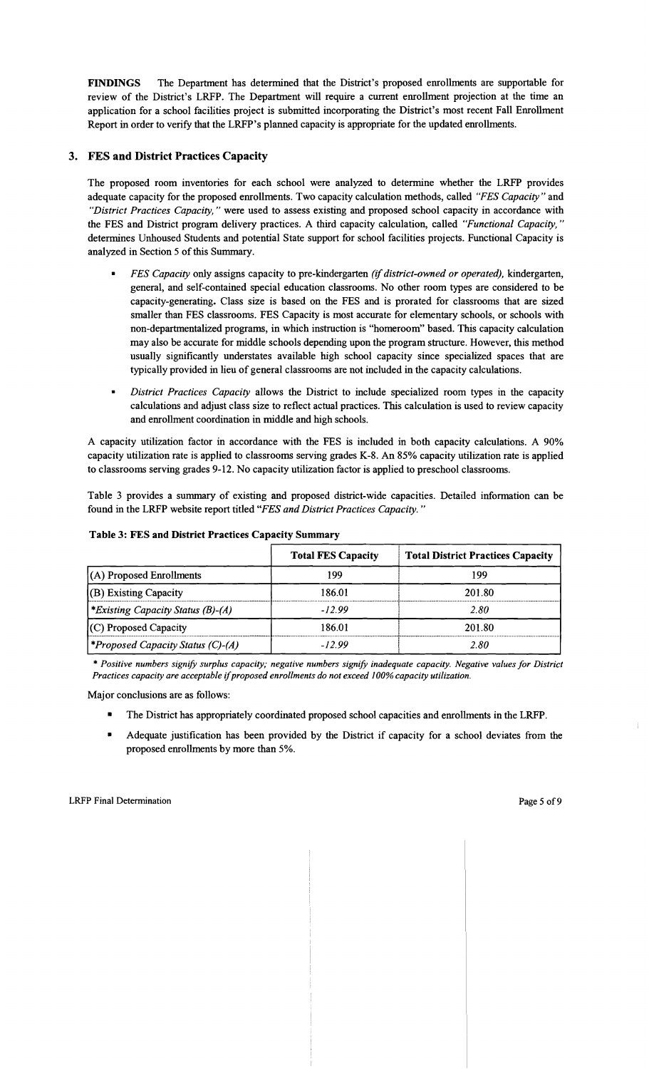FINDINGS The Department has determined that the District's proposed enrollments are supportable for review of the District's LRFP. The Department will require a current enrollment projection at the time an application for a school facilities project is submitted incorporating the District's most recent Fall Enrollment Report in order to verify that the LRFP's planned capacity is appropriate for the updated enrollments.

## 3. FES and District Practices Capacity

The proposed room inventories for each school were analyzed to determine whether the LRFP provides adequate capacity for the proposed enrollments. Two capacity calculation methods, called *"FES Capacity"* and *"District Practices Capacity,"* were used to assess existing and proposed school capacity in accordance with the FES and District program delivery practices. A third capacity calculation, called *"Functional Capacity, "*  determines Unhoused Students and potential State support for school facilities projects. Functional Capacity is analyzed in Section 5 of this Summary.

- *FES Capacity only assigns capacity to pre-kindergarten (if district-owned or operated), kindergarten,* general, and self-contained special education classrooms. No other room types are considered to be capacity-generating. Class size is based on the FES and is prorated for classrooms that are sized smaller than FES classrooms. FES Capacity is most accurate for elementary schools, or schools with non-departmentalized programs, in which instruction is "homeroom" based. This capacity calculation may also be accurate for middle schools depending upon the program structure. However, this method usually significantly understates available high school capacity since specialized spaces that are typically provided in lieu of general classrooms are not included in the capacity calculations.
- *District Practices Capacity* allows the District to include specialized room types in the capacity calculations and adjust class size to reflect actual practices. This calculation is used to review capacity and enrollment coordination in middle and high schools.

A capacity utilization factor in accordance with the FES is included in both capacity calculations. A 90% capacity utilization rate is applied to classrooms serving grades K-8. An 85% capacity utilization rate is applied to classrooms serving grades 9-12. No capacity utilization factor is applied to preschool classrooms.

Table 3 provides a summary of existing and proposed district-wide capacities. Detailed information can be found in the LRFP website report titled *"FES and District Practices Capacity. "* 

| Table 3: FES and District Practices Capacity Summary |                           |                                          |  |  |
|------------------------------------------------------|---------------------------|------------------------------------------|--|--|
|                                                      | <b>Total FES Capacity</b> | <b>Total District Practices Capacity</b> |  |  |
| (A) Proposed Enrollments                             | 199                       | 199                                      |  |  |
| $(O)$ Existing Capacity                              | 186.01                    | 201.80                                   |  |  |
| *Existing Capacity Status (B)-(A)                    | $-12.99$                  | 2.80                                     |  |  |
| $(C)$ Proposed Capacity                              | 186.01                    | 201.80                                   |  |  |
| <i><b>*Proposed Capacity Status (C)-(A)</b></i>      | $-12.99$                  | 2.80                                     |  |  |

#### Table 3: FES and District Practices Capacity Summary

\* *Positive numbers signify surplus capacity; negative numbers signify inadequate capacity. Negative values for District Practices capacity are acceptable* if*proposed enrollments do not exceed 100% capacity utilization.* 

- The District has appropriately coordinated proposed school capacities and enrollments in the LRFP.
- Adequate justification has been provided by the District if capacity for a school deviates from the proposed enrollments by more than 5%.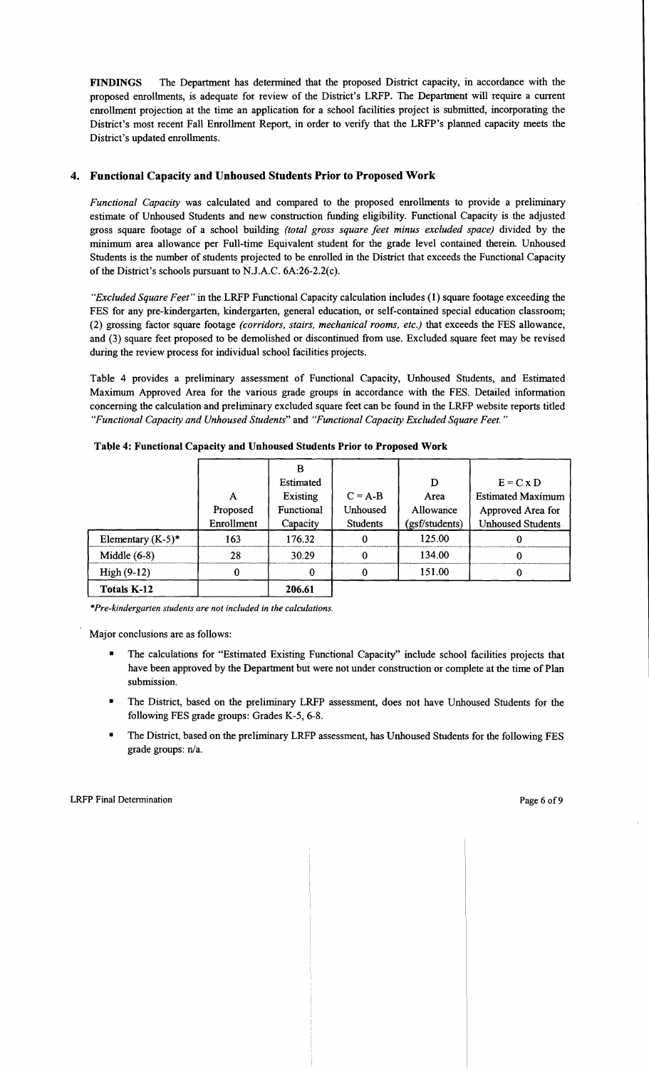FINDINGS The Department has determined that the proposed District capacity, in accordance with the proposed enrollments, is adequate for review of the District's LRFP. The Department will require a current enrollment projection at the time an application for a school facilities project is submitted, incorporating the District's most recent Fall Enrollment Report, in order to verify that the LRFP's planned capacity meets the District's updated enrollments.

## 4. Functional Capacity and Unhoused Students Prior to Proposed Work

*Functional Capacity* was calculated and compared to the proposed enrollments to provide a preliminary estimate of Unhoused Students and new construction funding eligibility. Functional Capacity is the adjusted gross square footage of a school building *(total gross square feet minus excluded space)* divided by the minimum area allowance per Full-time Equivalent student for the grade level contained therein. Unhoused Students is the number of students projected to be enrolled in the District that exceeds the Functional Capacity of the District's schools pursuant to N.J.A.C. 6A:26-2.2(c).

*"Excluded Square Feet"* in the LRFP Functional Capacity calculation includes (1) square footage exceeding the FES for any pre-kindergarten, kindergarten, general education, or self-contained special education classroom; (2) grossing factor square footage *(corridors, stairs, mechanical rooms, etc.)* that exceeds the FES allowance, and (3) square feet proposed to be demolished or discontinued from use. Excluded square feet may be revised during the review process for individual school facilities projects.

Table 4 provides a preliminary assessment of Functional Capacity, Unhoused Students, and Estimated Maximum Approved Area for the various grade groups in accordance with the FES. Detailed information concerning the calculation and preliminary excluded square feet can be found in the LRFP website reports titled *"Functional Capacity and Unhoused Students"* and *"Functional Capacity Excluded Square Feet."* 

|                      | A<br>Proposed<br>Enrollment | в<br>Estimated<br>Existing<br>Functional<br>Capacity | $C = A-B$<br>Unhoused<br><b>Students</b> | D<br>Area<br>Allowance<br>(gsf/students) | $E = C x D$<br><b>Estimated Maximum</b><br>Approved Area for<br><b>Unhoused Students</b> |
|----------------------|-----------------------------|------------------------------------------------------|------------------------------------------|------------------------------------------|------------------------------------------------------------------------------------------|
|                      |                             |                                                      |                                          |                                          |                                                                                          |
| Elementary $(K-5)^*$ | 163                         | 176.32                                               | 0                                        | 125.00                                   |                                                                                          |
| Middle $(6-8)$       | 28                          | 30.29                                                | 0                                        | 134.00                                   |                                                                                          |
| $High (9-12)$        | $\Omega$                    | 0                                                    | 0                                        | 151.00                                   |                                                                                          |
| <b>Totals K-12</b>   |                             | 206.61                                               |                                          |                                          |                                                                                          |

Table 4: Functional Capacity and Unhoused Students Prior to Proposed Work

*\*Pre-kindergarten students are not included in the calculations.* 

- The calculations for "Estimated Existing Functional Capacity" include school facilities projects that have been approved by the Department but were not under construction or complete at the time of Plan submission.
- The District, based on the preliminary LRFP assessment, does not have Unhoused Students for the following FES grade groups: Grades K-5, 6-8.
- The District, based on the preliminary LRFP assessment, has Unhoused Students for the following FES grade groups: n/a.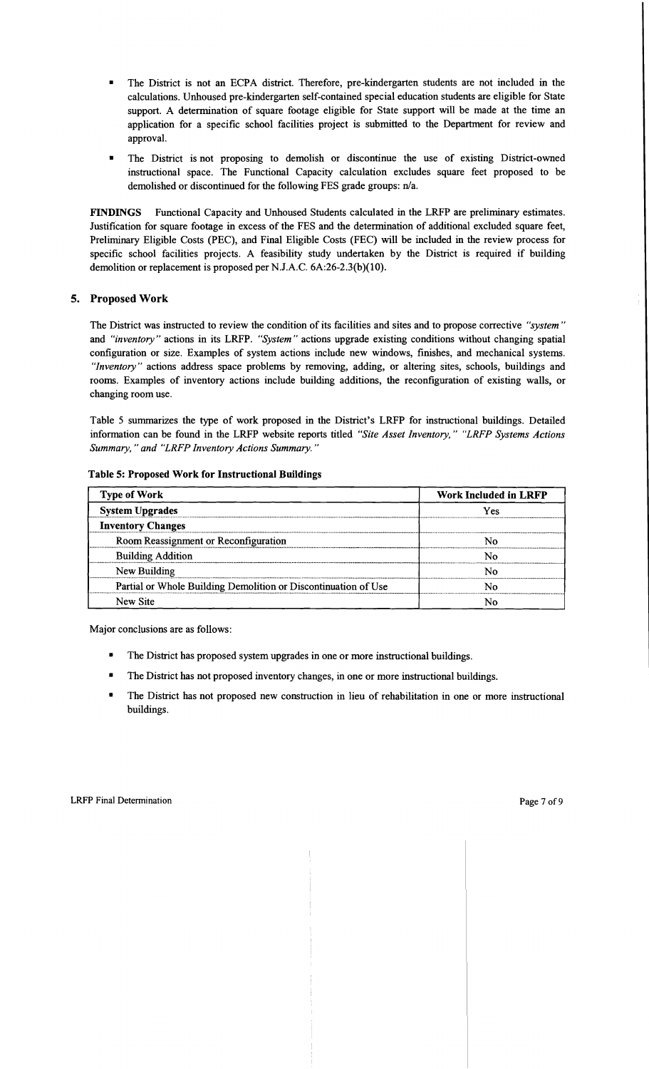- The District is not an ECPA district. Therefore, pre-kindergarten students are not included in the calculations. Unhoused pre-kindergarten self-contained special education students are eligible for State support. A determination of square footage eligible for State support will be made at the time an application for a specific school facilities project is submitted to the Department for review and approval.
- The District is not proposing to demolish or discontinue the use of existing District-owned instructional space. The Functional Capacity calculation excludes square feet proposed to be demolished or discontinued for the following FES grade groups: n/a.

FINDINGS Functional Capacity and Unhoused Students calculated in the LRFP are preliminary estimates. Justification for square footage in excess of the FES and the determination of additional excluded square feet, Preliminary Eligible Costs (PEC), and Final Eligible Costs (FEC) will be included in the review process for specific school facilities projects. A feasibility study undertaken by the District is required if building demolition or replacement is proposed per N.J.A.C. 6A:26-2.3(b)(10).

## 5. Proposed Work

The District was instructed to review the condition of its facilities and sites and to propose corrective *"system"*  and *"inventory"* actions in its LRFP. *"System"* actions upgrade existing conditions without changing spatial configuration or size. Examples of system actions include new windows, finishes, and mechanical systems. *"Inventory"* actions address space problems by removing, adding, or altering sites, schools, buildings and rooms. Examples of inventory actions include building additions, the reconfiguration of existing walls, or changing room use.

Table 5 summarizes the type of work proposed in the District's LRFP for instructional buildings. Detailed information can be found in the LRFP website reports titled *"Site Asset Inventory," "LRFP Systems Actions Summary,* " *and "LRFP Inventory Actions Summary. "* 

| <b>Type of Work</b>                                            | <b>Work Included in LRFP</b> |  |  |
|----------------------------------------------------------------|------------------------------|--|--|
| <b>System Upgrades</b>                                         | Yes                          |  |  |
| <b>Inventory Changes</b>                                       |                              |  |  |
| Room Reassignment or Reconfiguration                           | N٥                           |  |  |
| <b>Building Addition</b>                                       | N٥                           |  |  |
| New Building                                                   | N٥                           |  |  |
| Partial or Whole Building Demolition or Discontinuation of Use | N٥                           |  |  |
| New Site                                                       |                              |  |  |

#### Table 5: Proposed Work for Instructional Buildings

- The District has proposed system upgrades in one or more instructional buildings.
- The District has not proposed inventory changes, in one or more instructional buildings.
- The District has not proposed new construction in lieu of rehabilitation in one or more instructional buildings.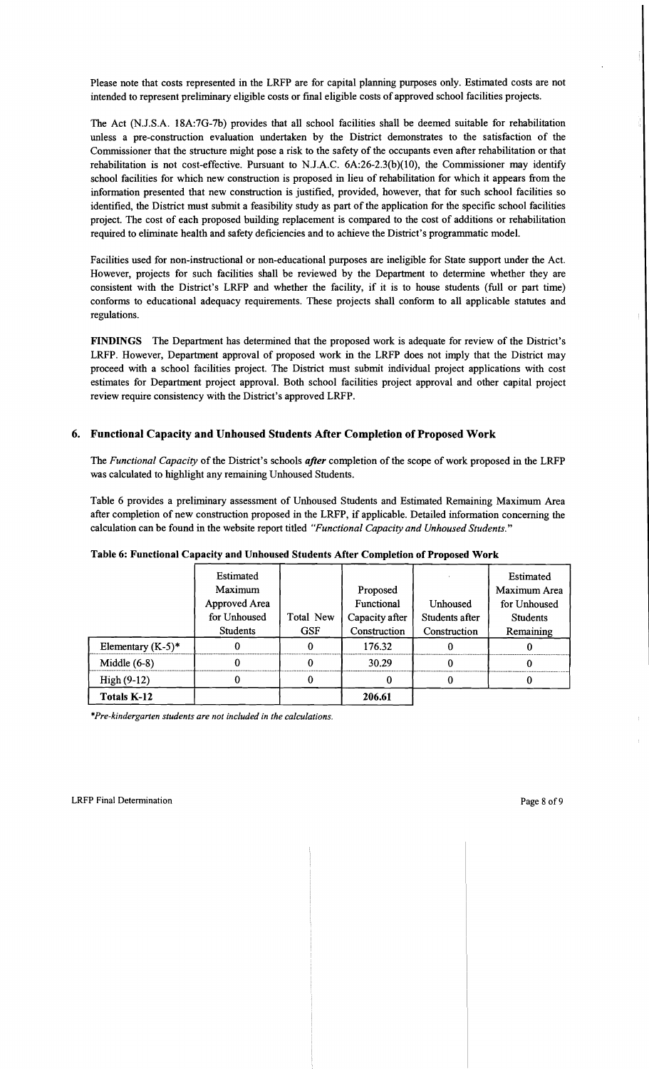Please note that costs represented in the LRFP are for capital planning purposes only. Estimated costs are not intended to represent preliminary eligible costs or final eligible costs of approved school facilities projects.

The Act (N.J.S.A. 18A:7G-7b) provides that all school facilities shall be deemed suitable for rehabilitation unless a pre-construction evaluation undertaken by the District demonstrates to the satisfaction of the Commissioner that the structure might pose a risk to the safety of the occupants even after rehabilitation or that rehabilitation is not cost-effective. Pursuant to NJ.A.C. 6A:26-2.3(b)(10), the Commissioner may identify school facilities for which new construction is proposed in lieu of rehabilitation for which it appears from the information presented that new construction is justified, provided, however, that for such school facilities so identified, the District must submit a feasibility study as part of the application for the specific school facilities project. The cost of each proposed building replacement is compared to the cost of additions or rehabilitation required to eliminate health and safety deficiencies and to achieve the District's programmatic model.

Facilities used for non-instructional or non-educational purposes are ineligible for State support under the Act. However, projects for such facilities shall be reviewed by the Department to determine whether they are consistent with the District's LRFP and whether the facility, if it is to house students (full or part time) conforms to educational adequacy requirements. These projects shall conform to all applicable statutes and regulations.

FINDINGS The Department has determined that the proposed work is adequate for review of the District's LRFP. However, Department approval of proposed work in the LRFP does not imply that the District may proceed with a school facilities project. The District must submit individual project applications with cost estimates for Department project approval. Both school facilities project approval and other capital project review require consistency with the District's approved LRFP.

## 6. Functional Capacity and Unhoused Students After Completion of Proposed Work

The *Functional Capacity* of the District's schools *after* completion of the scope of work proposed in the LRFP was calculated to highlight any remaining Unhoused Students.

Table 6 provides a preliminary assessment of Unhoused Students and Estimated Remaining Maximum Area after completion of new construction proposed in the LRFP, if applicable. Detailed information concerning the calculation can be found in the website report titled *"Functional Capacity and Unhoused Students."* 

|                      | Estimated       |            |                |                | Estimated       |
|----------------------|-----------------|------------|----------------|----------------|-----------------|
|                      | Maximum         |            | Proposed       |                | Maximum Area    |
|                      | Approved Area   |            | Functional     | Unhoused       | for Unhoused    |
|                      | for Unhoused    | Total New  | Capacity after | Students after | <b>Students</b> |
|                      | <b>Students</b> | <b>GSF</b> | Construction   | Construction   | Remaining       |
| Elementary $(K-5)^*$ |                 |            | 176.32         |                |                 |
| Middle $(6-8)$       |                 |            | 30.29          |                |                 |
| $High(9-12)$         |                 |            |                |                |                 |
| Totals K-12          |                 |            | 206.61         |                |                 |

Table 6: Functional Capacity and Unhoused Students After Completion of Proposed Work

*\*Pre-kindergarten students are not included in the calculations.*